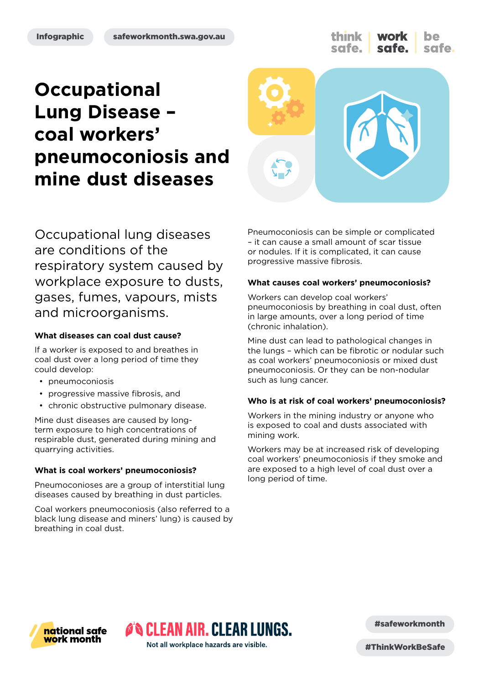think safe.

# **Occupational Lung Disease – coal workers' pneumoconiosis and mine dust diseases**



Occupational lung diseases are conditions of the respiratory system caused by workplace exposure to dusts, gases, fumes, vapours, mists and microorganisms.

#### **What diseases can coal dust cause?**

If a worker is exposed to and breathes in coal dust over a long period of time they could develop:

- pneumoconiosis
- progressive massive fibrosis, and
- chronic obstructive pulmonary disease.

Mine dust diseases are caused by longterm exposure to high concentrations of respirable dust, generated during mining and quarrying activities.

#### **What is coal workers' pneumoconiosis?**

Pneumoconioses are a group of interstitial lung diseases caused by breathing in dust particles.

Coal workers pneumoconiosis (also referred to a black lung disease and miners' lung) is caused by breathing in coal dust.

Pneumoconiosis can be simple or complicated – it can cause a small amount of scar tissue or nodules. If it is complicated, it can cause progressive massive fibrosis.

#### **What causes coal workers' pneumoconiosis?**

Workers can develop coal workers' pneumoconiosis by breathing in coal dust, often in large amounts, over a long period of time (chronic inhalation).

Mine dust can lead to pathological changes in the lungs – which can be fibrotic or nodular such as coal workers' pneumoconiosis or mixed dust pneumoconiosis. Or they can be non-nodular such as lung cancer.

#### **Who is at risk of coal workers' pneumoconiosis?**

Workers in the mining industry or anyone who is exposed to coal and dusts associated with mining work.

Workers may be at increased risk of developing coal workers' pneumoconiosis if they smoke and are exposed to a high level of coal dust over a long period of time.



#safeworkmonth

Not all workplace hazards are visible.

**O'S CLEAN AIR. CLEAR LUNGS.** 

#ThinkWorkBeSafe